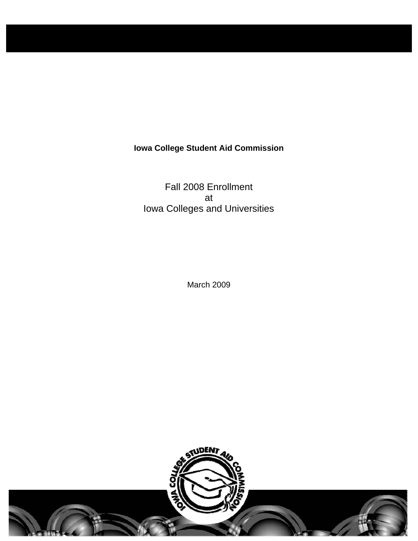# **Iowa College Student Aid Commission**

Fall 2008 Enrollment at Iowa Colleges and Universities

March 2009



nel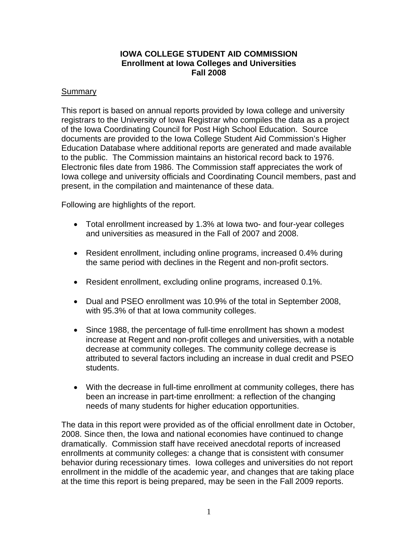## **IOWA COLLEGE STUDENT AID COMMISSION Enrollment at Iowa Colleges and Universities Fall 2008**

## **Summary**

This report is based on annual reports provided by Iowa college and university registrars to the University of Iowa Registrar who compiles the data as a project of the Iowa Coordinating Council for Post High School Education. Source documents are provided to the Iowa College Student Aid Commission's Higher Education Database where additional reports are generated and made available to the public. The Commission maintains an historical record back to 1976. Electronic files date from 1986. The Commission staff appreciates the work of Iowa college and university officials and Coordinating Council members, past and present, in the compilation and maintenance of these data.

Following are highlights of the report.

- Total enrollment increased by 1.3% at Iowa two- and four-year colleges and universities as measured in the Fall of 2007 and 2008.
- Resident enrollment, including online programs, increased 0.4% during the same period with declines in the Regent and non-profit sectors.
- Resident enrollment, excluding online programs, increased 0.1%.
- Dual and PSEO enrollment was 10.9% of the total in September 2008, with 95.3% of that at Iowa community colleges.
- Since 1988, the percentage of full-time enrollment has shown a modest increase at Regent and non-profit colleges and universities, with a notable decrease at community colleges. The community college decrease is attributed to several factors including an increase in dual credit and PSEO students.
- With the decrease in full-time enrollment at community colleges, there has been an increase in part-time enrollment: a reflection of the changing needs of many students for higher education opportunities.

The data in this report were provided as of the official enrollment date in October, 2008. Since then, the Iowa and national economies have continued to change dramatically. Commission staff have received anecdotal reports of increased enrollments at community colleges: a change that is consistent with consumer behavior during recessionary times. Iowa colleges and universities do not report enrollment in the middle of the academic year, and changes that are taking place at the time this report is being prepared, may be seen in the Fall 2009 reports.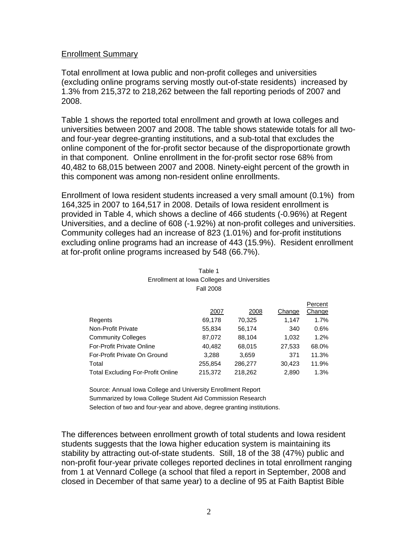#### Enrollment Summary

Total enrollment at Iowa public and non-profit colleges and universities (excluding online programs serving mostly out-of-state residents) increased by 1.3% from 215,372 to 218,262 between the fall reporting periods of 2007 and 2008.

Table 1 shows the reported total enrollment and growth at Iowa colleges and universities between 2007 and 2008. The table shows statewide totals for all twoand four-year degree-granting institutions, and a sub-total that excludes the online component of the for-profit sector because of the disproportionate growth in that component. Online enrollment in the for-profit sector rose 68% from 40,482 to 68,015 between 2007 and 2008. Ninety-eight percent of the growth in this component was among non-resident online enrollments.

Enrollment of Iowa resident students increased a very small amount (0.1%) from 164,325 in 2007 to 164,517 in 2008. Details of Iowa resident enrollment is provided in Table 4, which shows a decline of 466 students (-0.96%) at Regent Universities, and a decline of 608 (-1.92%) at non-profit colleges and universities. Community colleges had an increase of 823 (1.01%) and for-profit institutions excluding online programs had an increase of 443 (15.9%). Resident enrollment at for-profit online programs increased by 548 (66.7%).

|                                          |         |         |        | Percent |
|------------------------------------------|---------|---------|--------|---------|
|                                          | 2007    | 2008    | Change | Change  |
| Regents                                  | 69,178  | 70.325  | 1.147  | 1.7%    |
| Non-Profit Private                       | 55,834  | 56,174  | 340    | 0.6%    |
| <b>Community Colleges</b>                | 87,072  | 88,104  | 1.032  | 1.2%    |
| For-Profit Private Online                | 40,482  | 68,015  | 27,533 | 68.0%   |
| For-Profit Private On Ground             | 3,288   | 3,659   | 371    | 11.3%   |
| Total                                    | 255,854 | 286,277 | 30,423 | 11.9%   |
| <b>Total Excluding For-Profit Online</b> | 215,372 | 218,262 | 2,890  | $1.3\%$ |

| Table 1                                      |  |  |  |  |
|----------------------------------------------|--|--|--|--|
| Enrollment at Iowa Colleges and Universities |  |  |  |  |
| <b>Fall 2008</b>                             |  |  |  |  |

Source: Annual Iowa College and University Enrollment Report Summarized by Iowa College Student Aid Commission Research Selection of two and four-year and above, degree granting institutions.

The differences between enrollment growth of total students and Iowa resident students suggests that the Iowa higher education system is maintaining its stability by attracting out-of-state students. Still, 18 of the 38 (47%) public and non-profit four-year private colleges reported declines in total enrollment ranging from 1 at Vennard College (a school that filed a report in September, 2008 and closed in December of that same year) to a decline of 95 at Faith Baptist Bible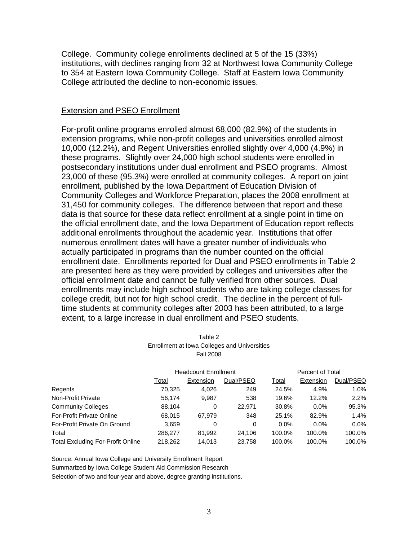College. Community college enrollments declined at 5 of the 15 (33%) institutions, with declines ranging from 32 at Northwest Iowa Community College to 354 at Eastern Iowa Community College. Staff at Eastern Iowa Community College attributed the decline to non-economic issues.

#### Extension and PSEO Enrollment

For-profit online programs enrolled almost 68,000 (82.9%) of the students in extension programs, while non-profit colleges and universities enrolled almost 10,000 (12.2%), and Regent Universities enrolled slightly over 4,000 (4.9%) in these programs. Slightly over 24,000 high school students were enrolled in postsecondary institutions under dual enrollment and PSEO programs. Almost 23,000 of these (95.3%) were enrolled at community colleges. A report on joint enrollment, published by the Iowa Department of Education Division of Community Colleges and Workforce Preparation, places the 2008 enrollment at 31,450 for community colleges. The difference between that report and these data is that source for these data reflect enrollment at a single point in time on the official enrollment date, and the Iowa Department of Education report reflects additional enrollments throughout the academic year. Institutions that offer numerous enrollment dates will have a greater number of individuals who actually participated in programs than the number counted on the official enrollment date. Enrollments reported for Dual and PSEO enrollments in Table 2 are presented here as they were provided by colleges and universities after the official enrollment date and cannot be fully verified from other sources. Dual enrollments may include high school students who are taking college classes for college credit, but not for high school credit. The decline in the percent of fulltime students at community colleges after 2003 has been attributed, to a large extent, to a large increase in dual enrollment and PSEO students.

|                                   |                             | <b>Fall 2008</b> | Enrollment at Iowa Colleges and Universities |         |                  |           |
|-----------------------------------|-----------------------------|------------------|----------------------------------------------|---------|------------------|-----------|
|                                   | <b>Headcount Enrollment</b> |                  |                                              |         | Percent of Total |           |
|                                   | Total                       | Extension        | Dual/PSEO                                    | Total   | Extension        | Dual/PSEO |
| Regents                           | 70,325                      | 4,026            | 249                                          | 24.5%   | 4.9%             | 1.0%      |
| Non-Profit Private                | 56.174                      | 9,987            | 538                                          | 19.6%   | 12.2%            | 2.2%      |
| <b>Community Colleges</b>         | 88.104                      | 0                | 22.971                                       | 30.8%   | $0.0\%$          | 95.3%     |
| For-Profit Private Online         | 68.015                      | 67.979           | 348                                          | 25.1%   | 82.9%            | 1.4%      |
| For-Profit Private On Ground      | 3,659                       | 0                | 0                                            | $0.0\%$ | $0.0\%$          | $0.0\%$   |
| Total                             | 286.277                     | 81,992           | 24.106                                       | 100.0%  | 100.0%           | 100.0%    |
| Total Excluding For-Profit Online | 218.262                     | 14.013           | 23.758                                       | 100.0%  | 100.0%           | 100.0%    |

Table 2

Source: Annual Iowa College and University Enrollment Report

Summarized by Iowa College Student Aid Commission Research

Selection of two and four-year and above, degree granting institutions.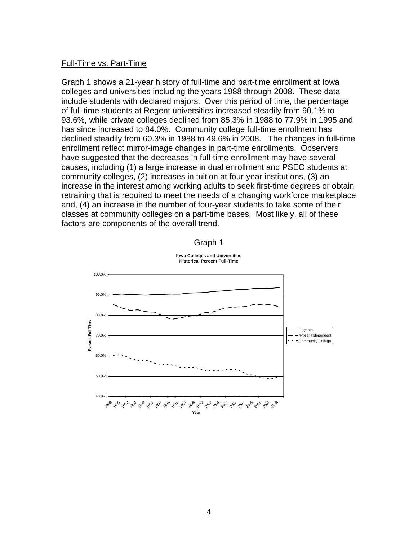#### Full-Time vs. Part-Time

Graph 1 shows a 21-year history of full-time and part-time enrollment at Iowa colleges and universities including the years 1988 through 2008. These data include students with declared majors. Over this period of time, the percentage of full-time students at Regent universities increased steadily from 90.1% to 93.6%, while private colleges declined from 85.3% in 1988 to 77.9% in 1995 and has since increased to 84.0%. Community college full-time enrollment has declined steadily from 60.3% in 1988 to 49.6% in 2008. The changes in full-time enrollment reflect mirror-image changes in part-time enrollments. Observers have suggested that the decreases in full-time enrollment may have several causes, including (1) a large increase in dual enrollment and PSEO students at community colleges, (2) increases in tuition at four-year institutions, (3) an increase in the interest among working adults to seek first-time degrees or obtain retraining that is required to meet the needs of a changing workforce marketplace and, (4) an increase in the number of four-year students to take some of their classes at community colleges on a part-time bases. Most likely, all of these factors are components of the overall trend.



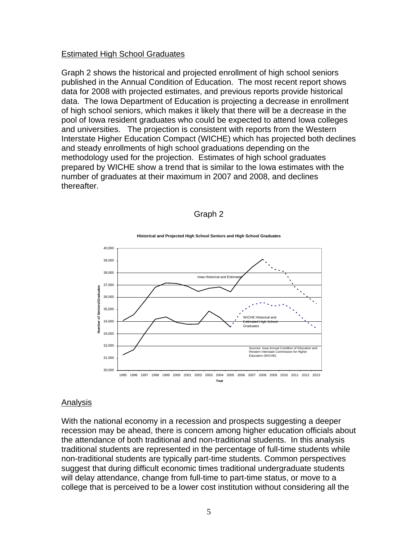#### Estimated High School Graduates

Graph 2 shows the historical and projected enrollment of high school seniors published in the Annual Condition of Education. The most recent report shows data for 2008 with projected estimates, and previous reports provide historical data. The Iowa Department of Education is projecting a decrease in enrollment of high school seniors, which makes it likely that there will be a decrease in the pool of Iowa resident graduates who could be expected to attend Iowa colleges and universities. The projection is consistent with reports from the Western Interstate Higher Education Compact (WICHE) which has projected both declines and steady enrollments of high school graduations depending on the methodology used for the projection. Estimates of high school graduates prepared by WICHE show a trend that is similar to the Iowa estimates with the number of graduates at their maximum in 2007 and 2008, and declines thereafter.

## Graph 2



**Historical and Projected High School Seniors and High School Graduates**

#### Analysis

With the national economy in a recession and prospects suggesting a deeper recession may be ahead, there is concern among higher education officials about the attendance of both traditional and non-traditional students. In this analysis traditional students are represented in the percentage of full-time students while non-traditional students are typically part-time students. Common perspectives suggest that during difficult economic times traditional undergraduate students will delay attendance, change from full-time to part-time status, or move to a college that is perceived to be a lower cost institution without considering all the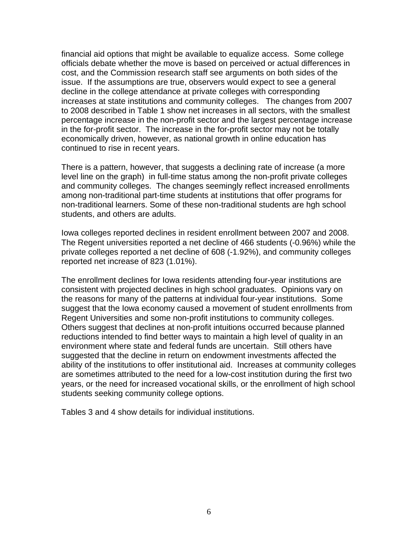financial aid options that might be available to equalize access. Some college officials debate whether the move is based on perceived or actual differences in cost, and the Commission research staff see arguments on both sides of the issue. If the assumptions are true, observers would expect to see a general decline in the college attendance at private colleges with corresponding increases at state institutions and community colleges. The changes from 2007 to 2008 described in Table 1 show net increases in all sectors, with the smallest percentage increase in the non-profit sector and the largest percentage increase in the for-profit sector. The increase in the for-profit sector may not be totally economically driven, however, as national growth in online education has continued to rise in recent years.

There is a pattern, however, that suggests a declining rate of increase (a more level line on the graph) in full-time status among the non-profit private colleges and community colleges. The changes seemingly reflect increased enrollments among non-traditional part-time students at institutions that offer programs for non-traditional learners. Some of these non-traditional students are hgh school students, and others are adults.

Iowa colleges reported declines in resident enrollment between 2007 and 2008. The Regent universities reported a net decline of 466 students (-0.96%) while the private colleges reported a net decline of 608 (-1.92%), and community colleges reported net increase of 823 (1.01%).

The enrollment declines for Iowa residents attending four-year institutions are consistent with projected declines in high school graduates. Opinions vary on the reasons for many of the patterns at individual four-year institutions. Some suggest that the Iowa economy caused a movement of student enrollments from Regent Universities and some non-profit institutions to community colleges. Others suggest that declines at non-profit intuitions occurred because planned reductions intended to find better ways to maintain a high level of quality in an environment where state and federal funds are uncertain. Still others have suggested that the decline in return on endowment investments affected the ability of the institutions to offer institutional aid. Increases at community colleges are sometimes attributed to the need for a low-cost institution during the first two years, or the need for increased vocational skills, or the enrollment of high school students seeking community college options.

Tables 3 and 4 show details for individual institutions.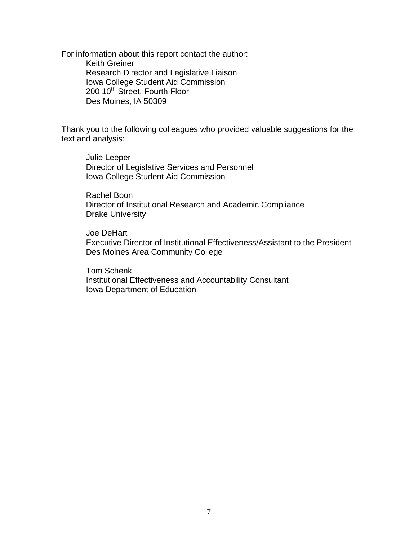For information about this report contact the author: Keith Greiner Research Director and Legislative Liaison Iowa College Student Aid Commission 200 10<sup>th</sup> Street, Fourth Floor Des Moines, IA 50309

Thank you to the following colleagues who provided valuable suggestions for the text and analysis:

Julie Leeper Director of Legislative Services and Personnel Iowa College Student Aid Commission

Rachel Boon Director of Institutional Research and Academic Compliance Drake University

Joe DeHart Executive Director of Institutional Effectiveness/Assistant to the President Des Moines Area Community College

Tom Schenk Institutional Effectiveness and Accountability Consultant Iowa Department of Education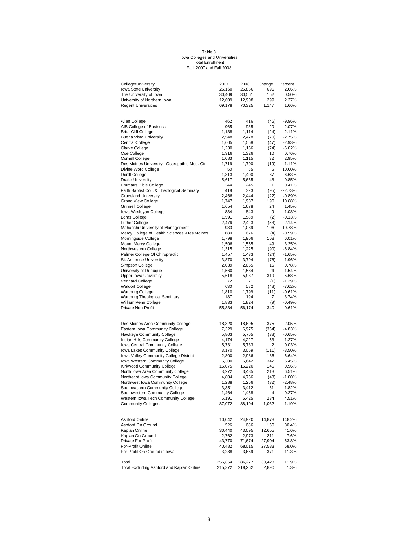#### Fall, 2007 and Fall 2008 Iowa Colleges and Universities Total Enrollment Table 3

| College/University                                                       | 2007            | 2008            | Change     | Percent        |
|--------------------------------------------------------------------------|-----------------|-----------------|------------|----------------|
| Iowa State University                                                    | 26,160          | 26,856          | 696        | 2.66%          |
| The University of Iowa                                                   | 30,409          | 30,561          | 152        | 0.50%          |
| University of Northern Iowa                                              | 12,609          | 12,908          | 299        | 2.37%          |
| <b>Regent Universities</b>                                               | 69,178          | 70,325          | 1,147      | 1.66%          |
|                                                                          |                 |                 |            |                |
| Allen College                                                            | 462             | 416             | (46)       | $-9.96%$       |
| AIB College of Business                                                  | 965             | 985             | 20         | 2.07%          |
| <b>Briar Cliff College</b>                                               | 1,138           | 1,114           | (24)       | $-2.11%$       |
| <b>Buena Vista University</b>                                            | 2,548           | 2,478           | (70)       | $-2.75%$       |
| <b>Central College</b>                                                   | 1,605           | 1,558           | (47)       | $-2.93%$       |
| Clarke College                                                           | 1,230           | 1,156           | (74)       | $-6.02%$       |
| Coe College                                                              | 1,316           | 1,326           | 10         | 0.76%          |
| Cornell College                                                          | 1,083           | 1,115           | 32         | 2.95%          |
| Des Moines University - Osteopathic Med. Ctr.                            | 1,719           | 1,700           | (19)       | $-1.11%$       |
| Divine Word College                                                      | 50              | 55              | 5          | 10.00%         |
| Dordt College<br><b>Drake University</b>                                 | 1,313           | 1,400           | 87         | 6.63%          |
| Emmaus Bible College                                                     | 5,617<br>244    | 5,665<br>245    | 48<br>1    | 0.85%<br>0.41% |
| Faith Baptist Coll. & Theological Seminary                               | 418             | 323             | (95)       | $-22.73%$      |
| <b>Graceland University</b>                                              | 2,466           | 2,444           | (22)       | $-0.89%$       |
| Grand View College                                                       | 1,747           | 1,937           | 190        | 10.88%         |
| Grinnell College                                                         | 1,654           | 1,678           | 24         | 1.45%          |
| Iowa Wesleyan College                                                    | 834             | 843             | 9          | 1.08%          |
| Loras College                                                            | 1,591           | 1,589           | (2)        | $-0.13%$       |
| Luther College                                                           | 2,476           | 2,423           | (53)       | $-2.14%$       |
| Maharishi University of Management                                       | 983             | 1,089           | 106        | 10.78%         |
| Mercy College of Health Sciences -Des Moines                             | 680             | 676             | (4)        | $-0.59%$       |
| Morningside College                                                      | 1,798           | 1,906           | 108        | 6.01%          |
| Mount Mercy College                                                      | 1,506           | 1,555           | 49         | 3.25%          |
| Northwestern College                                                     | 1,315           | 1,225           | (90)       | $-6.84%$       |
| Palmer College Of Chiropractic                                           | 1,457           | 1,433           | (24)       | $-1.65%$       |
| St. Ambrose University                                                   | 3,870           | 3,794           | (76)       | -1.96%         |
| Simpson College                                                          | 2,039           | 2,055           | 16         | 0.78%          |
| University of Dubuque                                                    | 1,560           | 1,584           | 24         | 1.54%          |
| <b>Upper Iowa University</b>                                             | 5,618           | 5,937           | 319        | 5.68%          |
| Vennard College                                                          | 72              | 71              | (1)        | $-1.39%$       |
| Waldorf College                                                          | 630             | 582             | (48)       | -7.62%         |
| <b>Wartburg College</b>                                                  | 1,810           | 1,799           | (11)       | $-0.61%$       |
| Wartburg Theological Seminary                                            | 187             | 194             | 7          | 3.74%          |
| William Penn College                                                     | 1,833           | 1,824           | (9)        | $-0.49%$       |
| Private Non-Profit                                                       | 55,834          | 56,174          | 340        | 0.61%          |
|                                                                          |                 |                 |            |                |
| Des Moines Area Community College                                        | 18,320          | 18,695          | 375        | 2.05%          |
| Eastern Iowa Community College                                           | 7,329           | 6,975           | (354)      | $-4.83%$       |
| Hawkeye Community College                                                | 5,803           | 5,765           | (38)       | $-0.65%$       |
| Indian Hills Community College                                           | 4,174           | 4,227           | 53         | 1.27%          |
| Iowa Central Community College                                           | 5,731           | 5,733           | 2          | 0.03%          |
| Iowa Lakes Community College                                             | 3,170           | 3,059           | (111)      | $-3.50%$       |
| Iowa Valley Community College District<br>Iowa Western Community College | 2,800           | 2,986           | 186        | 6.64%          |
| Kirkwood Community College                                               | 5,300           | 5,642           | 342<br>145 | 6.45%          |
| North Iowa Area Community College                                        | 15,075<br>3,272 | 15,220<br>3,485 | 213        | 0.96%<br>6.51% |
| Northeast Iowa Community College                                         | 4,804           | 4,756           | (48)       | $-1.00%$       |
| Northwest Iowa Community College                                         | 1,288           | 1,256           | (32)       | $-2.48%$       |
| Southeastern Community College                                           | 3,351           | 3,412           | 61         | 1.82%          |
| Southwestern Community College                                           | 1,464           | 1,468           | 4          | 0.27%          |
| Western Iowa Tech Community College                                      | 5,191           | 5,425           | 234        | 4.51%          |
| <b>Community Colleges</b>                                                | 87,072          | 88,104          | 1,032      | 1.19%          |
|                                                                          |                 |                 |            |                |
| <b>Ashford Online</b>                                                    | 10,042          | 24,920          | 14,878     | 148.2%         |
| Ashford On Ground                                                        | 526             | 686             | 160        | 30.4%          |
| Kaplan Online                                                            | 30,440          | 43,095          | 12,655     | 41.6%          |
| Kaplan On Ground                                                         | 2,762           | 2,973           | 211        | 7.6%           |
| Private For-Profit                                                       | 43,770          | 71,674          | 27,904     | 63.8%          |
| For-Profit Online                                                        | 40,482          | 68,015          | 27,533     | 68.0%          |
| For-Profit On Ground in Iowa                                             | 3,288           | 3,659           | 371        | 11.3%          |
| Total                                                                    | 255,854         | 286,277         | 30,423     | 11.9%          |
| Total Excluding Ashford and Kaplan Online                                | 215,372         | 218,262         | 2,890      | 1.3%           |